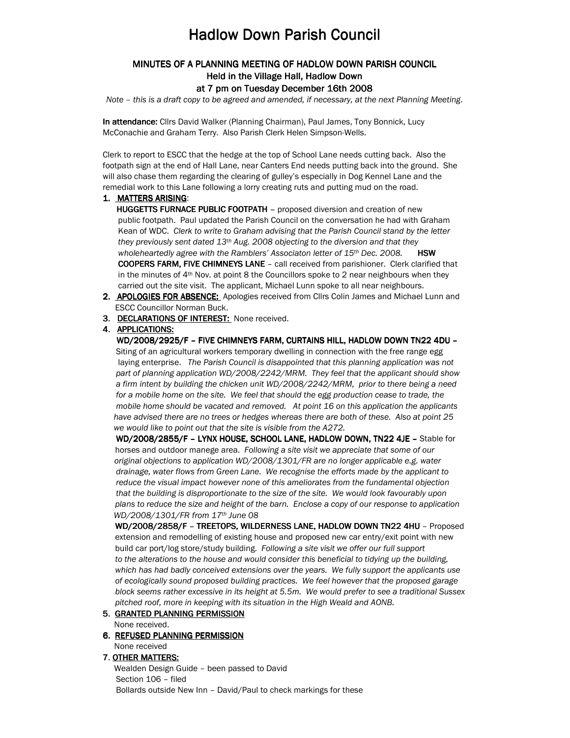# **Hadlow Down Parish Council**

## MINUTES OF A PLANNING MEETING OF HADLOW DOWN PARISH COUNCIL COUNCIL Held in the Village Hall, Hadlow Down

#### at 7 pm on Tuesday December 16th 2008

Note – this is a draft copy to be agreed and amended, if necessary, at the next Planning Meeting.

In attendance: Cllrs David Walker (Planning Chairman), Paul James, Tony Bonnick, Lucy McConachie and Graham Terry. Also Parish Clerk Helen Simpson-Wells.

Clerk to report to ESCC that the hedge at the top of School Lane needs cutting back. Also the footpath sign at the end of Hall Lane, near Canters End needs putting back into the ground. She will also chase them regarding the clearing of gulley's especially in Dog Kennel Lane and the remedial work to this Lane following a lorry creating ruts and putting mud on the road.

#### 1. MATTERS ARISING:

HUGGETTS FURNACE PUBLIC FOOTPATH - proposed diversion and creation of new public footpath. Paul updated the Parish Council on the conversation he had with Graham Kean of WDC. Clerk to write to Graham advising that the Parish Council stand by the letter they previously sent dated  $13<sup>th</sup>$  Aug. 2008 objecting to the diversion and that they wholeheartedly agree with the Ramblers' Associaton letter of  $15<sup>th</sup>$  Dec. 2008. **HSW** COOPERS FARM, FIVE CHIMNEYS LANE - call received from parishioner. Clerk clarified that in the minutes of 4<sup>th</sup> Nov. at point 8 the Councillors spoke to 2 near neighbours when they carried out the site visit. The applicant, Michael Lunn spoke to all near neighbours.

- 2. APOLOGIES FOR ABSENCE: Apologies received from Clirs Colin James and Michael Lunn and ESCC Councillor Norman Buck.
- 3. DECLARATIONS OF INTEREST: None received.

#### 4. APPLICATIONS:

WD/2008/2925/F - FIVE CHIMNEYS FARM, CURTAINS HILL, HADLOW DOWN TN22 4DU - Siting of an agricultural workers temporary dwelling in connection with the free range egg laying enterprise. The Parish Council is disappointed that this planning application was not part of planning application WD/2008/2242/MRM. They feel that the applicant should show a firm intent by building the chicken unit WD/2008/2242/MRM, prior to there being a need for a mobile home on the site. We feel that should the egg production cease to trade, the mobile home should be vacated and removed. At point 16 on this application the applicants have advised there are no trees or hedges whereas there are both of these. Also at point 25 we would like to point out that the site is visible from the A272.

WD/2008/2855/F - LYNX HOUSE, SCHOOL LANE, HADLOW DOWN, TN22 4JE - Stable for horses and outdoor manege area. Following a site visit we appreciate that some of our original objections to application WD/2008/1301/FR are no longer applicable e.g. water drainage, water flows from Green Lane. We recognise the efforts made by the applicant to reduce the visual impact however none of this ameliorates from the fundamental objection that the building is disproportionate to the size of the site. We would look favourably upon plans to reduce the size and height of the barn. Enclose a copy of our response to application WD/2008/1301/FR from 17th June 08

WD/2008/2858/F – TREETOPS, WILDERNESS LANE, HADLOW DOWN TN22 4HU - Proposed extension and remodelling of existing house and proposed new car entry/exit point with new build car port/log store/study building. Following a site visit we offer our full support to the alterations to the house and would consider this beneficial to tidying up the building, which has had badly conceived extensions over the years. We fully support the applicants use of ecologically sound proposed building practices. We feel however that the proposed garage block seems rather excessive in its height at 5.5m. We would prefer to see a traditional Sussex pitched roof, more in keeping with its situation in the High Weald and AONB.

#### 5. GRANTED PLANNING PERMISSION

None received.

6. REFUSED PLANNING PERMISSION None received

#### 7. OTHER MATTERS:

 Wealden Design Guide – been passed to David Section 106 – filed Bollards outside New Inn – David/Paul to check markings for these